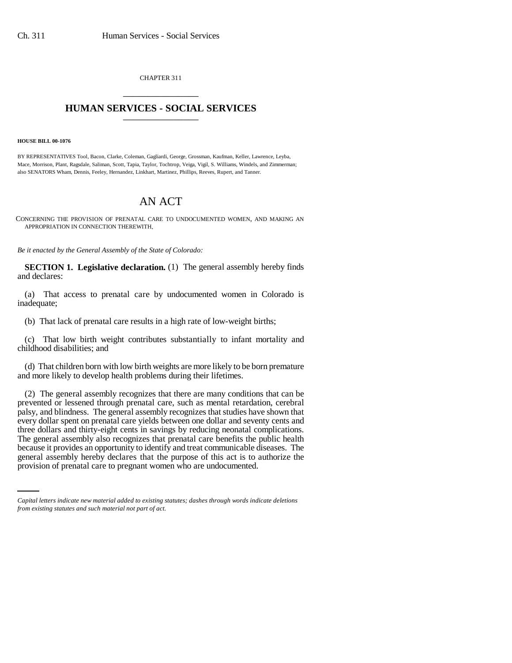CHAPTER 311 \_\_\_\_\_\_\_\_\_\_\_\_\_\_\_

## **HUMAN SERVICES - SOCIAL SERVICES** \_\_\_\_\_\_\_\_\_\_\_\_\_\_\_

**HOUSE BILL 00-1076**

BY REPRESENTATIVES Tool, Bacon, Clarke, Coleman, Gagliardi, George, Grossman, Kaufman, Keller, Lawrence, Leyba, Mace, Morrison, Plant, Ragsdale, Saliman, Scott, Tapia, Taylor, Tochtrop, Veiga, Vigil, S. Williams, Windels, and Zimmerman; also SENATORS Wham, Dennis, Feeley, Hernandez, Linkhart, Martinez, Phillips, Reeves, Rupert, and Tanner.

## AN ACT

CONCERNING THE PROVISION OF PRENATAL CARE TO UNDOCUMENTED WOMEN, AND MAKING AN APPROPRIATION IN CONNECTION THEREWITH.

*Be it enacted by the General Assembly of the State of Colorado:*

**SECTION 1. Legislative declaration.** (1) The general assembly hereby finds and declares:

(a) That access to prenatal care by undocumented women in Colorado is inadequate;

(b) That lack of prenatal care results in a high rate of low-weight births;

(c) That low birth weight contributes substantially to infant mortality and childhood disabilities; and

(d) That children born with low birth weights are more likely to be born premature and more likely to develop health problems during their lifetimes.

because it provides an opportunity to identify and treat communicable diseases. The (2) The general assembly recognizes that there are many conditions that can be prevented or lessened through prenatal care, such as mental retardation, cerebral palsy, and blindness. The general assembly recognizes that studies have shown that every dollar spent on prenatal care yields between one dollar and seventy cents and three dollars and thirty-eight cents in savings by reducing neonatal complications. The general assembly also recognizes that prenatal care benefits the public health general assembly hereby declares that the purpose of this act is to authorize the provision of prenatal care to pregnant women who are undocumented.

*Capital letters indicate new material added to existing statutes; dashes through words indicate deletions from existing statutes and such material not part of act.*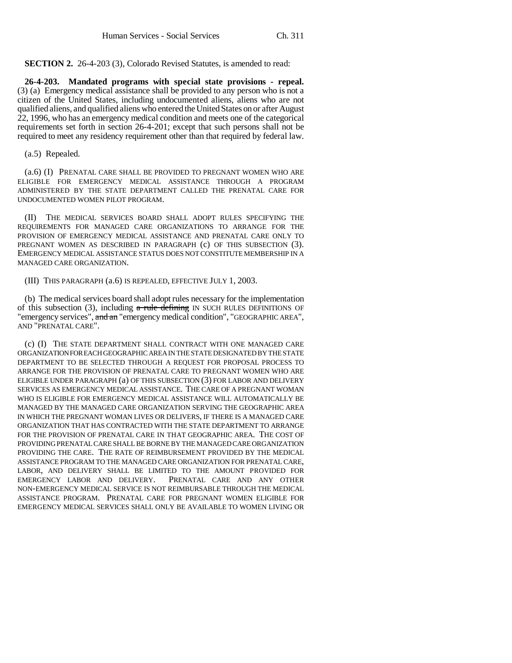**SECTION 2.** 26-4-203 (3), Colorado Revised Statutes, is amended to read:

**26-4-203. Mandated programs with special state provisions - repeal.** (3) (a) Emergency medical assistance shall be provided to any person who is not a citizen of the United States, including undocumented aliens, aliens who are not qualified aliens, and qualified aliens who entered the United States on or after August 22, 1996, who has an emergency medical condition and meets one of the categorical requirements set forth in section 26-4-201; except that such persons shall not be required to meet any residency requirement other than that required by federal law.

(a.5) Repealed.

(a.6) (I) PRENATAL CARE SHALL BE PROVIDED TO PREGNANT WOMEN WHO ARE ELIGIBLE FOR EMERGENCY MEDICAL ASSISTANCE THROUGH A PROGRAM ADMINISTERED BY THE STATE DEPARTMENT CALLED THE PRENATAL CARE FOR UNDOCUMENTED WOMEN PILOT PROGRAM.

(II) THE MEDICAL SERVICES BOARD SHALL ADOPT RULES SPECIFYING THE REQUIREMENTS FOR MANAGED CARE ORGANIZATIONS TO ARRANGE FOR THE PROVISION OF EMERGENCY MEDICAL ASSISTANCE AND PRENATAL CARE ONLY TO PREGNANT WOMEN AS DESCRIBED IN PARAGRAPH (c) OF THIS SUBSECTION (3). EMERGENCY MEDICAL ASSISTANCE STATUS DOES NOT CONSTITUTE MEMBERSHIP IN A MANAGED CARE ORGANIZATION.

(III) THIS PARAGRAPH (a.6) IS REPEALED, EFFECTIVE JULY 1, 2003.

(b) The medical services board shall adopt rules necessary for the implementation of this subsection (3), including  $\alpha$  rule defining IN SUCH RULES DEFINITIONS OF "emergency services", and an "emergency medical condition", "GEOGRAPHIC AREA", AND "PRENATAL CARE".

(c) (I) THE STATE DEPARTMENT SHALL CONTRACT WITH ONE MANAGED CARE ORGANIZATION FOR EACH GEOGRAPHIC AREA IN THE STATE DESIGNATED BY THE STATE DEPARTMENT TO BE SELECTED THROUGH A REQUEST FOR PROPOSAL PROCESS TO ARRANGE FOR THE PROVISION OF PRENATAL CARE TO PREGNANT WOMEN WHO ARE ELIGIBLE UNDER PARAGRAPH (a) OF THIS SUBSECTION (3) FOR LABOR AND DELIVERY SERVICES AS EMERGENCY MEDICAL ASSISTANCE. THE CARE OF A PREGNANT WOMAN WHO IS ELIGIBLE FOR EMERGENCY MEDICAL ASSISTANCE WILL AUTOMATICALLY BE MANAGED BY THE MANAGED CARE ORGANIZATION SERVING THE GEOGRAPHIC AREA IN WHICH THE PREGNANT WOMAN LIVES OR DELIVERS, IF THERE IS A MANAGED CARE ORGANIZATION THAT HAS CONTRACTED WITH THE STATE DEPARTMENT TO ARRANGE FOR THE PROVISION OF PRENATAL CARE IN THAT GEOGRAPHIC AREA. THE COST OF PROVIDING PRENATAL CARE SHALL BE BORNE BY THE MANAGED CARE ORGANIZATION PROVIDING THE CARE. THE RATE OF REIMBURSEMENT PROVIDED BY THE MEDICAL ASSISTANCE PROGRAM TO THE MANAGED CARE ORGANIZATION FOR PRENATAL CARE, LABOR, AND DELIVERY SHALL BE LIMITED TO THE AMOUNT PROVIDED FOR EMERGENCY LABOR AND DELIVERY. PRENATAL CARE AND ANY OTHER EMERGENCY LABOR AND DELIVERY. NON-EMERGENCY MEDICAL SERVICE IS NOT REIMBURSABLE THROUGH THE MEDICAL ASSISTANCE PROGRAM. PRENATAL CARE FOR PREGNANT WOMEN ELIGIBLE FOR EMERGENCY MEDICAL SERVICES SHALL ONLY BE AVAILABLE TO WOMEN LIVING OR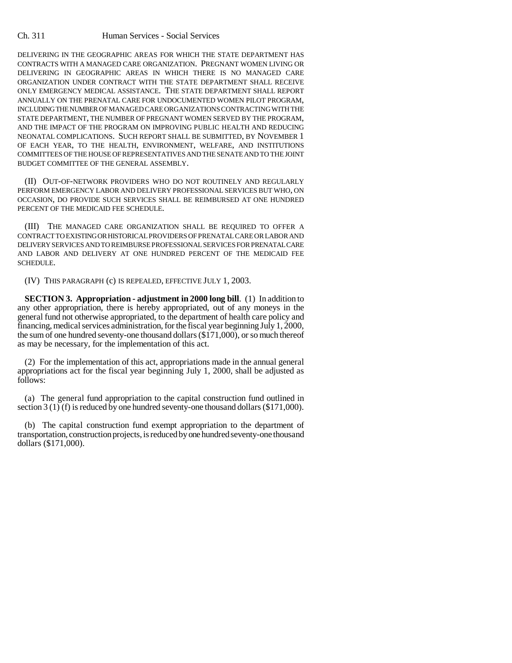DELIVERING IN THE GEOGRAPHIC AREAS FOR WHICH THE STATE DEPARTMENT HAS CONTRACTS WITH A MANAGED CARE ORGANIZATION. PREGNANT WOMEN LIVING OR DELIVERING IN GEOGRAPHIC AREAS IN WHICH THERE IS NO MANAGED CARE ORGANIZATION UNDER CONTRACT WITH THE STATE DEPARTMENT SHALL RECEIVE ONLY EMERGENCY MEDICAL ASSISTANCE. THE STATE DEPARTMENT SHALL REPORT ANNUALLY ON THE PRENATAL CARE FOR UNDOCUMENTED WOMEN PILOT PROGRAM, INCLUDING THE NUMBER OF MANAGED CARE ORGANIZATIONS CONTRACTING WITH THE STATE DEPARTMENT, THE NUMBER OF PREGNANT WOMEN SERVED BY THE PROGRAM, AND THE IMPACT OF THE PROGRAM ON IMPROVING PUBLIC HEALTH AND REDUCING NEONATAL COMPLICATIONS. SUCH REPORT SHALL BE SUBMITTED, BY NOVEMBER 1 OF EACH YEAR, TO THE HEALTH, ENVIRONMENT, WELFARE, AND INSTITUTIONS COMMITTEES OF THE HOUSE OF REPRESENTATIVES AND THE SENATE AND TO THE JOINT BUDGET COMMITTEE OF THE GENERAL ASSEMBLY.

(II) OUT-OF-NETWORK PROVIDERS WHO DO NOT ROUTINELY AND REGULARLY PERFORM EMERGENCY LABOR AND DELIVERY PROFESSIONAL SERVICES BUT WHO, ON OCCASION, DO PROVIDE SUCH SERVICES SHALL BE REIMBURSED AT ONE HUNDRED PERCENT OF THE MEDICAID FEE SCHEDULE.

(III) THE MANAGED CARE ORGANIZATION SHALL BE REQUIRED TO OFFER A CONTRACT TO EXISTING OR HISTORICAL PROVIDERS OF PRENATAL CARE OR LABOR AND DELIVERY SERVICES AND TO REIMBURSE PROFESSIONAL SERVICES FOR PRENATAL CARE AND LABOR AND DELIVERY AT ONE HUNDRED PERCENT OF THE MEDICAID FEE SCHEDULE.

(IV) THIS PARAGRAPH (c) IS REPEALED, EFFECTIVE JULY 1, 2003.

**SECTION 3. Appropriation - adjustment in 2000 long bill.** (1) In addition to any other appropriation, there is hereby appropriated, out of any moneys in the general fund not otherwise appropriated, to the department of health care policy and financing, medical services administration, for the fiscal year beginning July 1, 2000, the sum of one hundred seventy-one thousand dollars (\$171,000), or so much thereof as may be necessary, for the implementation of this act.

(2) For the implementation of this act, appropriations made in the annual general appropriations act for the fiscal year beginning July 1, 2000, shall be adjusted as follows:

(a) The general fund appropriation to the capital construction fund outlined in section 3 (1) (f) is reduced by one hundred seventy-one thousand dollars (\$171,000).

(b) The capital construction fund exempt appropriation to the department of transportation, construction projects, is reduced by one hundred seventy-one thousand dollars (\$171,000).